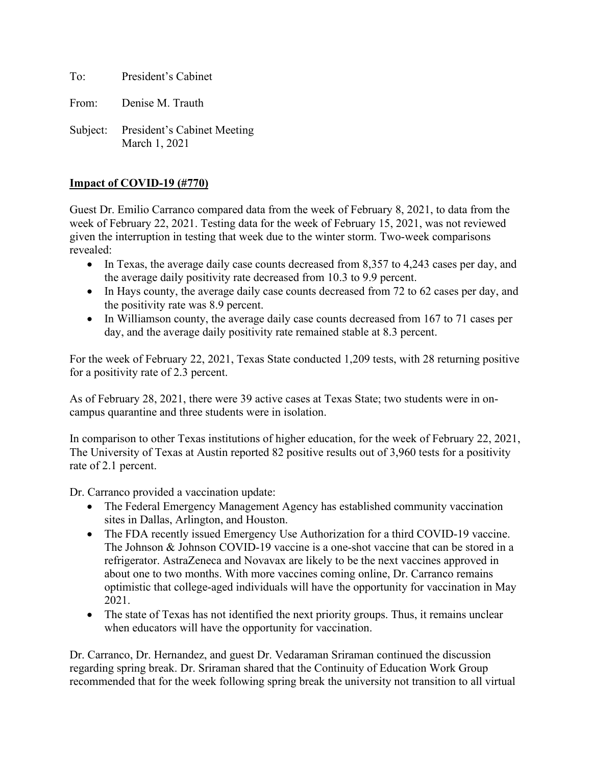To: President's Cabinet

From: Denise M. Trauth

Subject: President's Cabinet Meeting March 1, 2021

## **Impact of COVID-19 (#770)**

Guest Dr. Emilio Carranco compared data from the week of February 8, 2021, to data from the week of February 22, 2021. Testing data for the week of February 15, 2021, was not reviewed given the interruption in testing that week due to the winter storm. Two-week comparisons revealed:

- In Texas, the average daily case counts decreased from 8,357 to 4,243 cases per day, and the average daily positivity rate decreased from 10.3 to 9.9 percent.
- In Hays county, the average daily case counts decreased from 72 to 62 cases per day, and the positivity rate was 8.9 percent.
- In Williamson county, the average daily case counts decreased from 167 to 71 cases per day, and the average daily positivity rate remained stable at 8.3 percent.

For the week of February 22, 2021, Texas State conducted 1,209 tests, with 28 returning positive for a positivity rate of 2.3 percent.

As of February 28, 2021, there were 39 active cases at Texas State; two students were in oncampus quarantine and three students were in isolation.

In comparison to other Texas institutions of higher education, for the week of February 22, 2021, The University of Texas at Austin reported 82 positive results out of 3,960 tests for a positivity rate of 2.1 percent.

Dr. Carranco provided a vaccination update:

- The Federal Emergency Management Agency has established community vaccination sites in Dallas, Arlington, and Houston.
- The FDA recently issued Emergency Use Authorization for a third COVID-19 vaccine. The Johnson & Johnson COVID-19 vaccine is a one-shot vaccine that can be stored in a refrigerator. AstraZeneca and Novavax are likely to be the next vaccines approved in about one to two months. With more vaccines coming online, Dr. Carranco remains optimistic that college-aged individuals will have the opportunity for vaccination in May 2021.
- The state of Texas has not identified the next priority groups. Thus, it remains unclear when educators will have the opportunity for vaccination.

Dr. Carranco, Dr. Hernandez, and guest Dr. Vedaraman Sriraman continued the discussion regarding spring break. Dr. Sriraman shared that the Continuity of Education Work Group recommended that for the week following spring break the university not transition to all virtual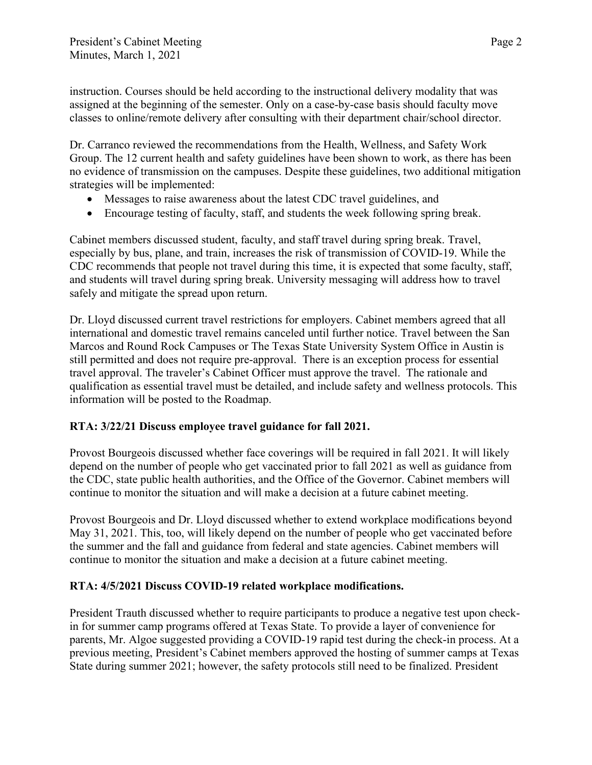instruction. Courses should be held according to the instructional delivery modality that was assigned at the beginning of the semester. Only on a case-by-case basis should faculty move classes to online/remote delivery after consulting with their department chair/school director.

Dr. Carranco reviewed the recommendations from the Health, Wellness, and Safety Work Group. The 12 current health and safety guidelines have been shown to work, as there has been no evidence of transmission on the campuses. Despite these guidelines, two additional mitigation strategies will be implemented:

- Messages to raise awareness about the latest CDC travel guidelines, and
- Encourage testing of faculty, staff, and students the week following spring break.

Cabinet members discussed student, faculty, and staff travel during spring break. Travel, especially by bus, plane, and train, increases the risk of transmission of COVID-19. While the CDC recommends that people not travel during this time, it is expected that some faculty, staff, and students will travel during spring break. University messaging will address how to travel safely and mitigate the spread upon return.

Dr. Lloyd discussed current travel restrictions for employers. Cabinet members agreed that all international and domestic travel remains canceled until further notice. Travel between the San Marcos and Round Rock Campuses or The Texas State University System Office in Austin is still permitted and does not require pre-approval. There is an exception process for essential travel approval. The traveler's Cabinet Officer must approve the travel. The rationale and qualification as essential travel must be detailed, and include safety and wellness protocols. This information will be posted to the Roadmap.

# **RTA: 3/22/21 Discuss employee travel guidance for fall 2021.**

Provost Bourgeois discussed whether face coverings will be required in fall 2021. It will likely depend on the number of people who get vaccinated prior to fall 2021 as well as guidance from the CDC, state public health authorities, and the Office of the Governor. Cabinet members will continue to monitor the situation and will make a decision at a future cabinet meeting.

Provost Bourgeois and Dr. Lloyd discussed whether to extend workplace modifications beyond May 31, 2021. This, too, will likely depend on the number of people who get vaccinated before the summer and the fall and guidance from federal and state agencies. Cabinet members will continue to monitor the situation and make a decision at a future cabinet meeting.

## **RTA: 4/5/2021 Discuss COVID-19 related workplace modifications.**

President Trauth discussed whether to require participants to produce a negative test upon checkin for summer camp programs offered at Texas State. To provide a layer of convenience for parents, Mr. Algoe suggested providing a COVID-19 rapid test during the check-in process. At a previous meeting, President's Cabinet members approved the hosting of summer camps at Texas State during summer 2021; however, the safety protocols still need to be finalized. President